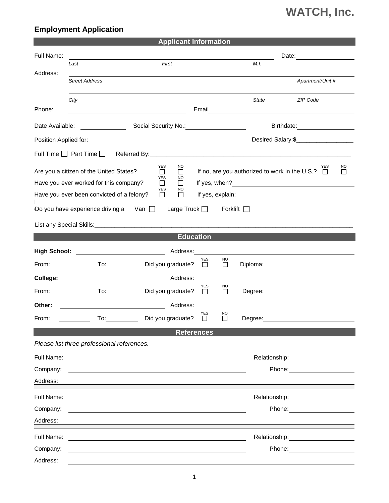## **WATCH, Inc.**

## **Employment Application**

| <b>Applicant Information</b>                                                                                                                                                                                                                                                                                                                  |                                            |                                                                                                                  |                       |                     |              |                                                                                                                                                                                                                                |  |  |
|-----------------------------------------------------------------------------------------------------------------------------------------------------------------------------------------------------------------------------------------------------------------------------------------------------------------------------------------------|--------------------------------------------|------------------------------------------------------------------------------------------------------------------|-----------------------|---------------------|--------------|--------------------------------------------------------------------------------------------------------------------------------------------------------------------------------------------------------------------------------|--|--|
| Full Name:                                                                                                                                                                                                                                                                                                                                    |                                            |                                                                                                                  |                       |                     |              |                                                                                                                                                                                                                                |  |  |
| Address:                                                                                                                                                                                                                                                                                                                                      | Last                                       | First                                                                                                            |                       |                     | M.I.         |                                                                                                                                                                                                                                |  |  |
|                                                                                                                                                                                                                                                                                                                                               | <b>Street Address</b>                      |                                                                                                                  |                       |                     |              | Apartment/Unit #                                                                                                                                                                                                               |  |  |
|                                                                                                                                                                                                                                                                                                                                               | City                                       |                                                                                                                  |                       |                     | <b>State</b> | <b>ZIP Code</b>                                                                                                                                                                                                                |  |  |
| Phone:                                                                                                                                                                                                                                                                                                                                        |                                            |                                                                                                                  | Email                 |                     |              |                                                                                                                                                                                                                                |  |  |
| Date Available:<br>Social Security No.:<br>Birthdate: <u>____________</u><br><u> 1989 - Jan Barat, prima politik (</u>                                                                                                                                                                                                                        |                                            |                                                                                                                  |                       |                     |              |                                                                                                                                                                                                                                |  |  |
| Position Applied for:                                                                                                                                                                                                                                                                                                                         |                                            |                                                                                                                  |                       |                     |              |                                                                                                                                                                                                                                |  |  |
| Full Time $\Box$ Part Time $\Box$                                                                                                                                                                                                                                                                                                             |                                            |                                                                                                                  |                       |                     |              |                                                                                                                                                                                                                                |  |  |
| <b>YES</b><br>NO<br><b>NO</b><br>YES<br>If no, are you authorized to work in the U.S.? $\Box$<br>Are you a citizen of the United States?<br>П<br>$\mathbb{R}^n$<br>$\Box$<br><b>YES</b><br><b>NO</b><br>If yes, when?<br>Have you ever worked for this company?<br>⊔<br>ΙI<br><u> 1980 - Jan Barbara Barbara, masa ka</u><br><b>YES</b><br>NO |                                            |                                                                                                                  |                       |                     |              |                                                                                                                                                                                                                                |  |  |
| Have you ever been convicted of a felony?<br>If yes, explain:<br>$\perp$<br>$\mathbf{I}$                                                                                                                                                                                                                                                      |                                            |                                                                                                                  |                       |                     |              |                                                                                                                                                                                                                                |  |  |
| Do you have experience driving a Van $\Box$<br>Large Truck $\Box$<br>Forklift $\Box$                                                                                                                                                                                                                                                          |                                            |                                                                                                                  |                       |                     |              |                                                                                                                                                                                                                                |  |  |
|                                                                                                                                                                                                                                                                                                                                               |                                            |                                                                                                                  |                       |                     |              |                                                                                                                                                                                                                                |  |  |
| <b>Education</b>                                                                                                                                                                                                                                                                                                                              |                                            |                                                                                                                  |                       |                     |              |                                                                                                                                                                                                                                |  |  |
|                                                                                                                                                                                                                                                                                                                                               | High School: ___________________________   | Address:                                                                                                         |                       |                     |              |                                                                                                                                                                                                                                |  |  |
| From:                                                                                                                                                                                                                                                                                                                                         | $\overline{a}$                             | Did you graduate?                                                                                                | YES<br>□              | NO.<br>$\Box$       |              |                                                                                                                                                                                                                                |  |  |
|                                                                                                                                                                                                                                                                                                                                               |                                            | Address:                                                                                                         |                       |                     |              |                                                                                                                                                                                                                                |  |  |
| From:                                                                                                                                                                                                                                                                                                                                         |                                            | Did you graduate?                                                                                                | <b>YES</b><br>$\perp$ | <b>NO</b><br>$\Box$ |              |                                                                                                                                                                                                                                |  |  |
| Other:                                                                                                                                                                                                                                                                                                                                        |                                            | Address:                                                                                                         |                       |                     |              |                                                                                                                                                                                                                                |  |  |
| From:                                                                                                                                                                                                                                                                                                                                         | To:                                        | Did you graduate?                                                                                                | YES<br>$\Box$         | NO<br>$\Box$        | Degree:      |                                                                                                                                                                                                                                |  |  |
|                                                                                                                                                                                                                                                                                                                                               |                                            | <b>References</b>                                                                                                |                       |                     |              |                                                                                                                                                                                                                                |  |  |
|                                                                                                                                                                                                                                                                                                                                               | Please list three professional references. |                                                                                                                  |                       |                     |              |                                                                                                                                                                                                                                |  |  |
| Full Name:                                                                                                                                                                                                                                                                                                                                    |                                            |                                                                                                                  |                       |                     |              |                                                                                                                                                                                                                                |  |  |
| Company:                                                                                                                                                                                                                                                                                                                                      |                                            |                                                                                                                  |                       |                     |              | Phone: The contract of the contract of the contract of the contract of the contract of the contract of the contract of the contract of the contract of the contract of the contract of the contract of the contract of the con |  |  |
| Address:                                                                                                                                                                                                                                                                                                                                      |                                            |                                                                                                                  |                       |                     |              |                                                                                                                                                                                                                                |  |  |
| Full Name:                                                                                                                                                                                                                                                                                                                                    |                                            |                                                                                                                  |                       |                     |              | Relationship: 2000                                                                                                                                                                                                             |  |  |
| Company:                                                                                                                                                                                                                                                                                                                                      |                                            |                                                                                                                  |                       |                     |              | Phone: <u>________________________</u>                                                                                                                                                                                         |  |  |
| Address:                                                                                                                                                                                                                                                                                                                                      |                                            |                                                                                                                  |                       |                     |              |                                                                                                                                                                                                                                |  |  |
| Full Name:                                                                                                                                                                                                                                                                                                                                    |                                            | and the control of the control of the control of the control of the control of the control of the control of the |                       |                     |              | Relationship: 2000                                                                                                                                                                                                             |  |  |
| Company:                                                                                                                                                                                                                                                                                                                                      |                                            |                                                                                                                  |                       |                     |              | Phone: <u>____________________</u>                                                                                                                                                                                             |  |  |
| Address:                                                                                                                                                                                                                                                                                                                                      |                                            |                                                                                                                  |                       |                     |              |                                                                                                                                                                                                                                |  |  |